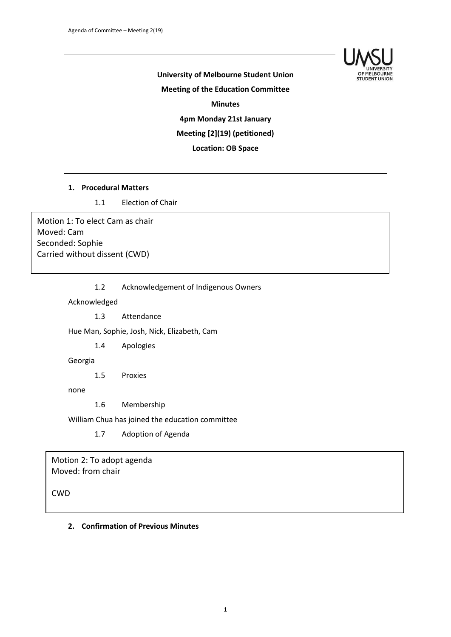

# **University of Melbourne Student Union Meeting of the Education Committee Minutes 4pm Monday 21st January Meeting [2](19) (petitioned) Location: OB Space**

#### **1. Procedural Matters**

1.1 Election of Chair

Motion 1: To elect Cam as chair Moved: Cam Seconded: Sophie Carried without dissent (CWD)

1.2 Acknowledgement of Indigenous Owners

Acknowledged

1.3 Attendance

Hue Man, Sophie, Josh, Nick, Elizabeth, Cam

1.4 Apologies

Georgia

1.5 Proxies

none

1.6 Membership

William Chua has joined the education committee

1.7 Adoption of Agenda

Motion 2: To adopt agenda Moved: from chair

CWD

#### **2. Confirmation of Previous Minutes**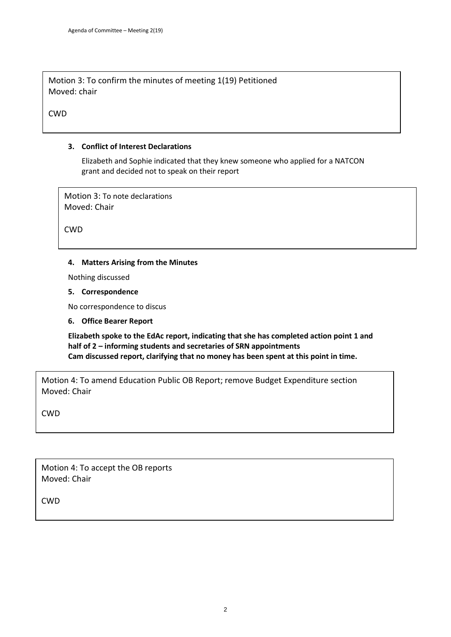Motion 3: To confirm the minutes of meeting 1(19) Petitioned Moved: chair

**CWD** 

# **3. Conflict of Interest Declarations**

Elizabeth and Sophie indicated that they knew someone who applied for a NATCON grant and decided not to speak on their report

Motion 3: To note declarations Moved: Chair

**CWD** 

# **4. Matters Arising from the Minutes**

Nothing discussed

#### **5. Correspondence**

No correspondence to discus

**6. Office Bearer Report**

**Elizabeth spoke to the EdAc report, indicating that she has completed action point 1 and half of 2 – informing students and secretaries of SRN appointments Cam discussed report, clarifying that no money has been spent at this point in time.**

Motion 4: To amend Education Public OB Report; remove Budget Expenditure section Moved: Chair

CWD

Motion 4: To accept the OB reports Moved: Chair

CWD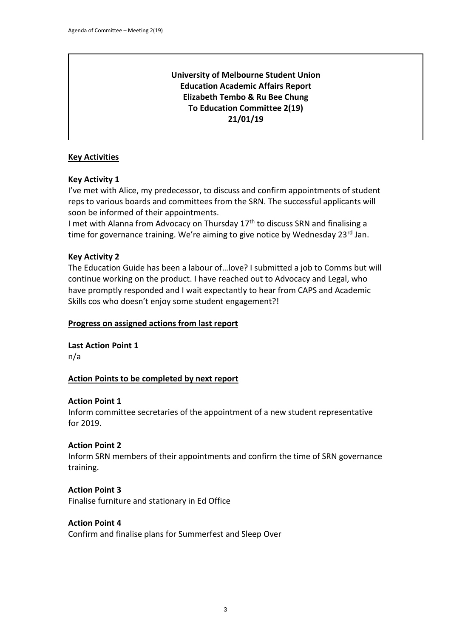# **University of Melbourne Student Union Education Academic Affairs Report Elizabeth Tembo & Ru Bee Chung To Education Committee 2(19) 21/01/19**

# **Key Activities**

# **Key Activity 1**

I've met with Alice, my predecessor, to discuss and confirm appointments of student reps to various boards and committees from the SRN. The successful applicants will soon be informed of their appointments.

I met with Alanna from Advocacy on Thursday  $17<sup>th</sup>$  to discuss SRN and finalising a time for governance training. We're aiming to give notice by Wednesday 23rd Jan.

# **Key Activity 2**

The Education Guide has been a labour of…love? I submitted a job to Comms but will continue working on the product. I have reached out to Advocacy and Legal, who have promptly responded and I wait expectantly to hear from CAPS and Academic Skills cos who doesn't enjoy some student engagement?!

# **Progress on assigned actions from last report**

**Last Action Point 1**

n/a

# **Action Points to be completed by next report**

# **Action Point 1**

Inform committee secretaries of the appointment of a new student representative for 2019.

# **Action Point 2**

Inform SRN members of their appointments and confirm the time of SRN governance training.

# **Action Point 3**

Finalise furniture and stationary in Ed Office

# **Action Point 4**

Confirm and finalise plans for Summerfest and Sleep Over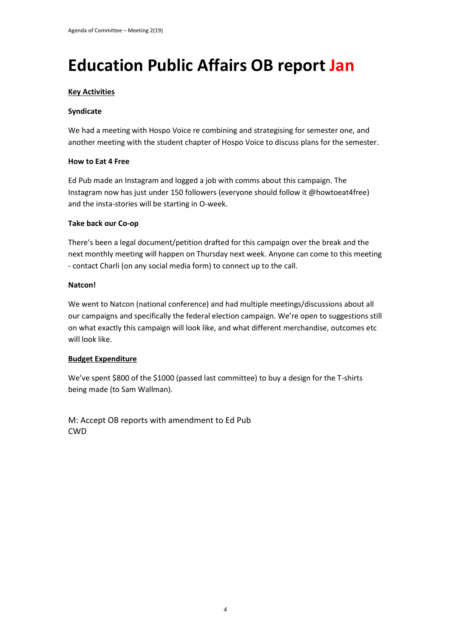# **Education Public Affairs OB report Jan**

#### **Key Activities**

#### **Syndicate**

We had a meeting with Hospo Voice re combining and strategising for semester one, and another meeting with the student chapter of Hospo Voice to discuss plans for the semester.

#### **How to Eat 4 Free**

Ed Pub made an Instagram and logged a job with comms about this campaign. The Instagram now has just under 150 followers (everyone should follow it @howtoeat4free) and the insta-stories will be starting in O-week.

#### **Take back our Co-op**

There's been a legal document/petition drafted for this campaign over the break and the next monthly meeting will happen on Thursday next week. Anyone can come to this meeting - contact Charli (on any social media form) to connect up to the call.

#### **Natcon!**

We went to Natcon (national conference) and had multiple meetings/discussions about all our campaigns and specifically the federal election campaign. We're open to suggestions still on what exactly this campaign will look like, and what different merchandise, outcomes etc will look like.

# **Budget Expenditure**

We've spent \$800 of the \$1000 (passed last committee) to buy a design for the T-shirts being made (to Sam Wallman).

M: Accept OB reports with amendment to Ed Pub CWD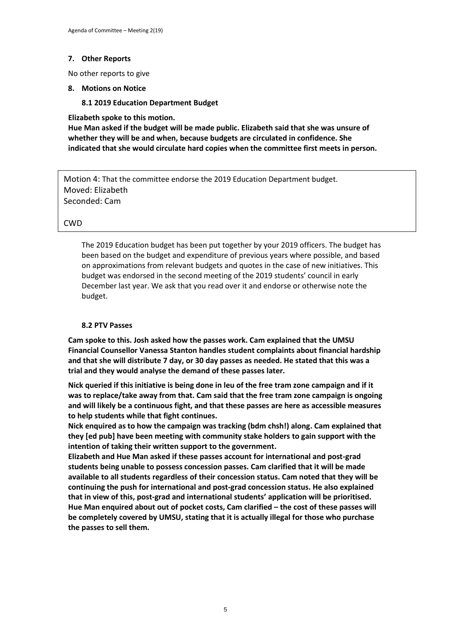#### **7. Other Reports**

No other reports to give

#### **8. Motions on Notice**

#### **8.1 2019 Education Department Budget**

**Elizabeth spoke to this motion.** 

**Hue Man asked if the budget will be made public. Elizabeth said that she was unsure of whether they will be and when, because budgets are circulated in confidence. She indicated that she would circulate hard copies when the committee first meets in person.**

Motion 4: That the committee endorse the 2019 Education Department budget. Moved: Elizabeth Seconded: Cam

#### CWD

The 2019 Education budget has been put together by your 2019 officers. The budget has been based on the budget and expenditure of previous years where possible, and based on approximations from relevant budgets and quotes in the case of new initiatives. This budget was endorsed in the second meeting of the 2019 students' council in early December last year. We ask that you read over it and endorse or otherwise note the budget.

#### **8.2 PTV Passes**

**Cam spoke to this. Josh asked how the passes work. Cam explained that the UMSU Financial Counsellor Vanessa Stanton handles student complaints about financial hardship and that she will distribute 7 day, or 30 day passes as needed. He stated that this was a trial and they would analyse the demand of these passes later.** 

**Nick queried if this initiative is being done in leu of the free tram zone campaign and if it was to replace/take away from that. Cam said that the free tram zone campaign is ongoing and will likely be a continuous fight, and that these passes are here as accessible measures to help students while that fight continues.**

**Nick enquired as to how the campaign was tracking (bdm chsh!) along. Cam explained that they [ed pub] have been meeting with community stake holders to gain support with the intention of taking their written support to the government.**

**Elizabeth and Hue Man asked if these passes account for international and post-grad students being unable to possess concession passes. Cam clarified that it will be made available to all students regardless of their concession status. Cam noted that they will be continuing the push for international and post-grad concession status. He also explained that in view of this, post-grad and international students' application will be prioritised. Hue Man enquired about out of pocket costs, Cam clarified – the cost of these passes will be completely covered by UMSU, stating that it is actually illegal for those who purchase the passes to sell them.**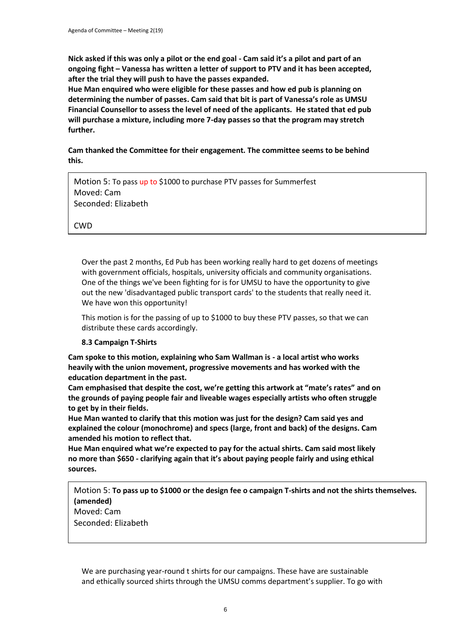**Nick asked if this was only a pilot or the end goal - Cam said it's a pilot and part of an ongoing fight – Vanessa has written a letter of support to PTV and it has been accepted, after the trial they will push to have the passes expanded.** 

**Hue Man enquired who were eligible for these passes and how ed pub is planning on determining the number of passes. Cam said that bit is part of Vanessa's role as UMSU Financial Counsellor to assess the level of need of the applicants. He stated that ed pub will purchase a mixture, including more 7-day passes so that the program may stretch further.**

**Cam thanked the Committee for their engagement. The committee seems to be behind this.**

Motion 5: To pass up to \$1000 to purchase PTV passes for Summerfest Moved: Cam Seconded: Elizabeth

CWD

Over the past 2 months, Ed Pub has been working really hard to get dozens of meetings with government officials, hospitals, university officials and community organisations. One of the things we've been fighting for is for UMSU to have the opportunity to give out the new 'disadvantaged public transport cards' to the students that really need it. We have won this opportunity!

This motion is for the passing of up to \$1000 to buy these PTV passes, so that we can distribute these cards accordingly.

# **8.3 Campaign T-Shirts**

**Cam spoke to this motion, explaining who Sam Wallman is - a local artist who works heavily with the union movement, progressive movements and has worked with the education department in the past.**

**Cam emphasised that despite the cost, we're getting this artwork at "mate's rates" and on the grounds of paying people fair and liveable wages especially artists who often struggle to get by in their fields.** 

**Hue Man wanted to clarify that this motion was just for the design? Cam said yes and explained the colour (monochrome) and specs (large, front and back) of the designs. Cam amended his motion to reflect that.**

**Hue Man enquired what we're expected to pay for the actual shirts. Cam said most likely no more than \$650 - clarifying again that it's about paying people fairly and using ethical sources.**

Motion 5: **To pass up to \$1000 or the design fee o campaign T-shirts and not the shirts themselves. (amended)** Moved: Cam

Seconded: Elizabeth

We are purchasing year-round t shirts for our campaigns. These have are sustainable and ethically sourced shirts through the UMSU comms department's supplier. To go with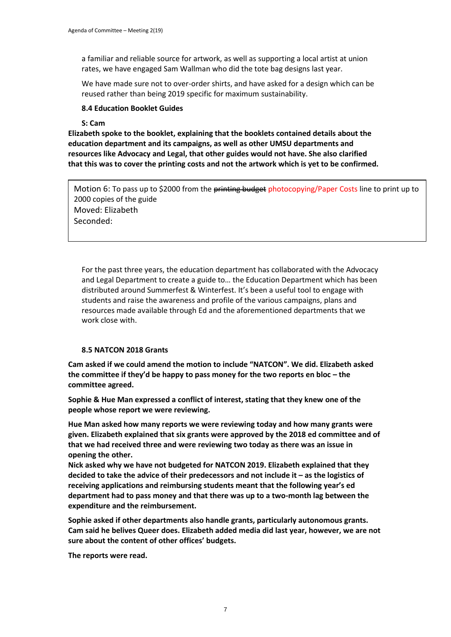a familiar and reliable source for artwork, as well as supporting a local artist at union rates, we have engaged Sam Wallman who did the tote bag designs last year.

We have made sure not to over-order shirts, and have asked for a design which can be reused rather than being 2019 specific for maximum sustainability.

#### **8.4 Education Booklet Guides**

#### **S: Cam**

**Elizabeth spoke to the booklet, explaining that the booklets contained details about the education department and its campaigns, as well as other UMSU departments and resources like Advocacy and Legal, that other guides would not have. She also clarified that this was to cover the printing costs and not the artwork which is yet to be confirmed.**

Motion 6: To pass up to \$2000 from the printing budget photocopying/Paper Costs line to print up to 2000 copies of the guide Moved: Elizabeth Seconded:

For the past three years, the education department has collaborated with the Advocacy and Legal Department to create a guide to… the Education Department which has been distributed around Summerfest & Winterfest. It's been a useful tool to engage with students and raise the awareness and profile of the various campaigns, plans and resources made available through Ed and the aforementioned departments that we work close with.

#### **8.5 NATCON 2018 Grants**

**Cam asked if we could amend the motion to include "NATCON". We did. Elizabeth asked the committee if they'd be happy to pass money for the two reports en bloc – the committee agreed.**

**Sophie & Hue Man expressed a conflict of interest, stating that they knew one of the people whose report we were reviewing.**

**Hue Man asked how many reports we were reviewing today and how many grants were given. Elizabeth explained that six grants were approved by the 2018 ed committee and of that we had received three and were reviewing two today as there was an issue in opening the other.** 

**Nick asked why we have not budgeted for NATCON 2019. Elizabeth explained that they decided to take the advice of their predecessors and not include it – as the logistics of receiving applications and reimbursing students meant that the following year's ed department had to pass money and that there was up to a two-month lag between the expenditure and the reimbursement.** 

**Sophie asked if other departments also handle grants, particularly autonomous grants. Cam said he belives Queer does. Elizabeth added media did last year, however, we are not sure about the content of other offices' budgets.**

**The reports were read.**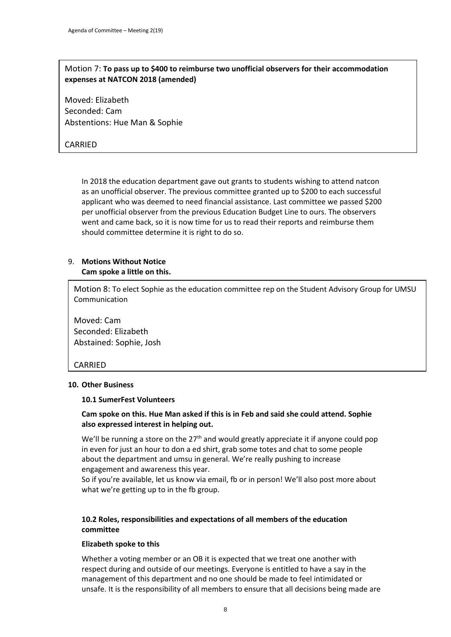# Motion 7: **To pass up to \$400 to reimburse two unofficial observers for their accommodation expenses at NATCON 2018 (amended)**

Moved: Elizabeth Seconded: Cam Abstentions: Hue Man & Sophie

# CARRIED

In 2018 the education department gave out grants to students wishing to attend natcon as an unofficial observer. The previous committee granted up to \$200 to each successful applicant who was deemed to need financial assistance. Last committee we passed \$200 per unofficial observer from the previous Education Budget Line to ours. The observers went and came back, so it is now time for us to read their reports and reimburse them should committee determine it is right to do so.

#### 9. **Motions Without Notice Cam spoke a little on this.**

Motion 8: To elect Sophie as the education committee rep on the Student Advisory Group for UMSU Communication

Moved: Cam Seconded: Elizabeth Abstained: Sophie, Josh

# CARRIED

#### **10. Other Business**

#### **10.1 SumerFest Volunteers**

#### **Cam spoke on this. Hue Man asked if this is in Feb and said she could attend. Sophie also expressed interest in helping out.**

We'll be running a store on the  $27<sup>th</sup>$  and would greatly appreciate it if anyone could pop in even for just an hour to don a ed shirt, grab some totes and chat to some people about the department and umsu in general. We're really pushing to increase engagement and awareness this year.

So if you're available, let us know via email, fb or in person! We'll also post more about what we're getting up to in the fb group.

# **10.2 Roles, responsibilities and expectations of all members of the education committee**

#### **Elizabeth spoke to this**

Whether a voting member or an OB it is expected that we treat one another with respect during and outside of our meetings. Everyone is entitled to have a say in the management of this department and no one should be made to feel intimidated or unsafe. It is the responsibility of all members to ensure that all decisions being made are